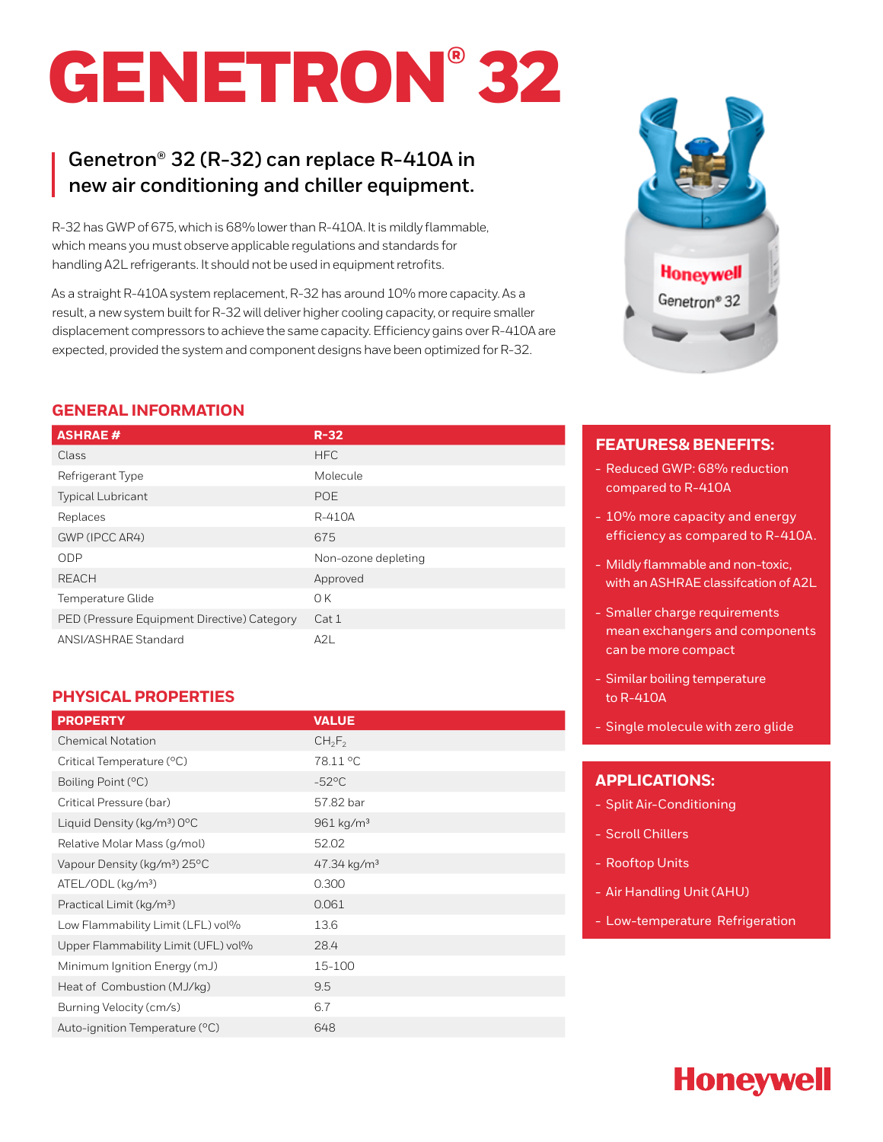# GENETRON® 32

## **Genetron® 32 (R-32) can replace R-410A in new air conditioning and chiller equipment.**

R-32 has GWP of 675, which is 68% lower than R-410A. It is mildly flammable, which means you must observe applicable regulations and standards for handling A2L refrigerants. It should not be used in equipment retrofits.

As a straight R-410A system replacement, R-32 has around 10% more capacity. As a result, a new system built for R-32 will deliver higher cooling capacity, or require smaller displacement compressors to achieve the same capacity. Efficiency gains over R-410A are expected, provided the system and component designs have been optimized for R-32.

#### **GENERAL INFORMATION**

| <b>ASHRAE#</b>                              | $R-32$              |
|---------------------------------------------|---------------------|
| Class                                       | <b>HFC</b>          |
| Refrigerant Type                            | Molecule            |
| <b>Typical Lubricant</b>                    | POE                 |
| Replaces                                    | R-410A              |
| GWP (IPCC AR4)                              | 675                 |
| <b>ODP</b>                                  | Non-ozone depleting |
| <b>REACH</b>                                | Approved            |
| Temperature Glide                           | 0K                  |
| PED (Pressure Equipment Directive) Category | Cat 1               |
| ANSI/ASHRAE Standard                        | A2L                 |

#### **PHYSICAL PROPERTIES**

| <b>PROPERTY</b>                          | <b>VALUE</b>              |
|------------------------------------------|---------------------------|
| <b>Chemical Notation</b>                 | $CH_2F_2$                 |
| Critical Temperature (°C)                | 78.11 °C                  |
| Boiling Point (°C)                       | $-52^{\circ}$ C           |
| Critical Pressure (bar)                  | 57.82 bar                 |
| Liquid Density (kg/m <sup>3</sup> ) 0°C  | 961 kg/m <sup>3</sup>     |
| Relative Molar Mass (g/mol)              | 52.02                     |
| Vapour Density (kg/m <sup>3</sup> ) 25°C | $47.34$ kg/m <sup>3</sup> |
| ATEL/ODL (kg/m <sup>3</sup> )            | 0.300                     |
| Practical Limit (kg/m <sup>3</sup> )     | 0.061                     |
| Low Flammability Limit (LFL) vol%        | 13.6                      |
| Upper Flammability Limit (UFL) vol%      | 28.4                      |
| Minimum Ignition Energy (mJ)             | 15-100                    |
| Heat of Combustion (MJ/kg)               | 9.5                       |
| Burning Velocity (cm/s)                  | 6.7                       |
| Auto-ignition Temperature (°C)           | 648                       |



### **FEATURES& BENEFITS:**

- Reduced GWP: 68% reduction compared to R-410A
- 10% more capacity and energy efficiency as compared to R-410A.
- Mildly flammable and non-toxic, with an ASHRAE classifcation of A2L
- Smaller charge requirements mean exchangers and components can be more compact
- Similar boiling temperature to R-410A
- Single molecule with zero glide

#### **APPLICATIONS:**

- Split Air-Conditioning
- Scroll Chillers
- Rooftop Units
- Air Handling Unit (AHU)
- Low-temperature Refrigeration

# **Honeywell**